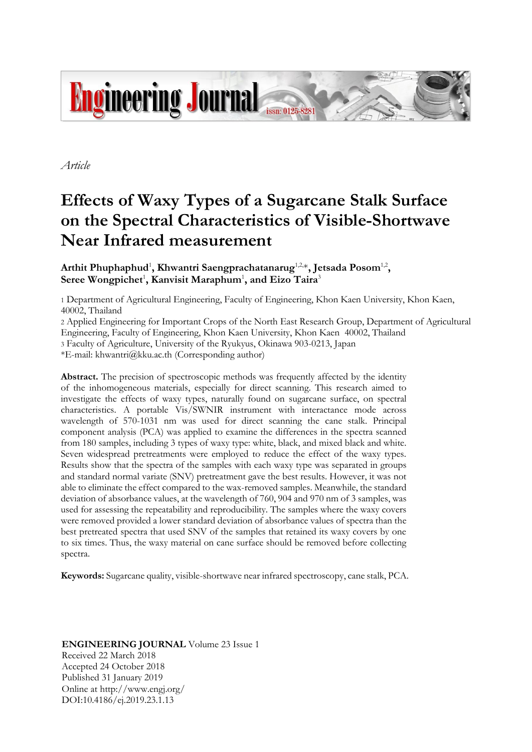

*Article*

# **Effects of Waxy Types of a Sugarcane Stalk Surface on the Spectral Characteristics of Visible-Shortwave Near Infrared measurement**

Arthit Phuphaphud<sup>1</sup>, Khwantri Saengprachatanarug<sup>1,2,</sup>\*, Jetsada Posom<sup>1,2</sup>,  $\operatorname{\sf Seree}$  Wongpichet<sup>1</sup>, Kanvisit Maraphum<sup>1</sup>, and Eizo Taira<sup>3</sup>

1 Department of Agricultural Engineering, Faculty of Engineering, Khon Kaen University, Khon Kaen, 40002, Thailand

2 Applied Engineering for Important Crops of the North East Research Group, Department of Agricultural Engineering, Faculty of Engineering, Khon Kaen University, Khon Kaen 40002, Thailand 3 Faculty of Agriculture, University of the Ryukyus, Okinawa 903-0213, Japan

\*E-mail: khwantri@kku.ac.th (Corresponding author)

**Abstract.** The precision of spectroscopic methods was frequently affected by the identity of the inhomogeneous materials, especially for direct scanning. This research aimed to investigate the effects of waxy types, naturally found on sugarcane surface, on spectral characteristics. A portable Vis/SWNIR instrument with interactance mode across wavelength of 570-1031 nm was used for direct scanning the cane stalk. Principal component analysis (PCA) was applied to examine the differences in the spectra scanned from 180 samples, including 3 types of waxy type: white, black, and mixed black and white. Seven widespread pretreatments were employed to reduce the effect of the waxy types. Results show that the spectra of the samples with each waxy type was separated in groups and standard normal variate (SNV) pretreatment gave the best results. However, it was not able to eliminate the effect compared to the wax-removed samples. Meanwhile, the standard deviation of absorbance values, at the wavelength of 760, 904 and 970 nm of 3 samples, was used for assessing the repeatability and reproducibility. The samples where the waxy covers were removed provided a lower standard deviation of absorbance values of spectra than the best pretreated spectra that used SNV of the samples that retained its waxy covers by one to six times. Thus, the waxy material on cane surface should be removed before collecting spectra.

**Keywords:** Sugarcane quality, visible-shortwave near infrared spectroscopy, cane stalk, PCA.

**ENGINEERING JOURNAL** Volume 23 Issue 1 Received 22 March 2018 Accepted 24 October 2018 Published 31 January 2019 Online at http://www.engj.org/ DOI:10.4186/ej.2019.23.1.13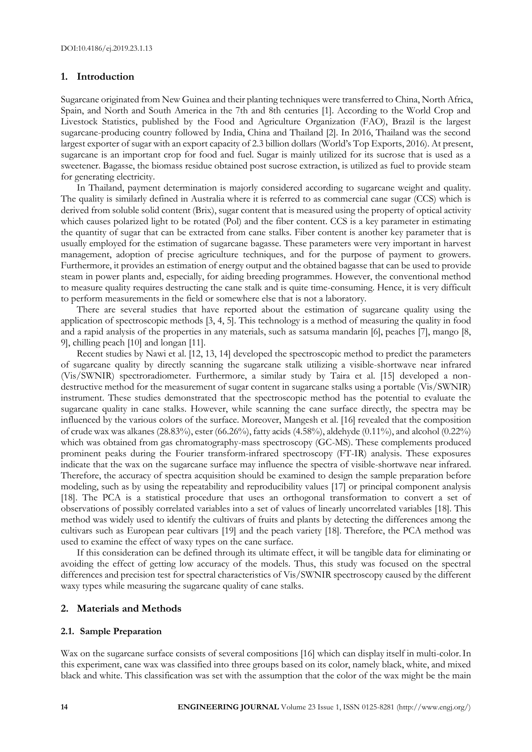#### **1. Introduction**

Sugarcane originated from New Guinea and their planting techniques were transferred to China, North Africa, Spain, and North and South America in the 7th and 8th centuries [1]. According to the World Crop and Livestock Statistics, published by the Food and Agriculture Organization (FAO), Brazil is the largest sugarcane-producing country followed by India, China and Thailand [2]. In 2016, Thailand was the second largest exporter of sugar with an export capacity of 2.3 billion dollars (World's Top Exports, 2016). At present, sugarcane is an important crop for food and fuel. Sugar is mainly utilized for its sucrose that is used as a sweetener. Bagasse, the biomass residue obtained post sucrose extraction, is utilized as fuel to provide steam for generating electricity.

In Thailand, payment determination is majorly considered according to sugarcane weight and quality. The quality is similarly defined in Australia where it is referred to as commercial cane sugar (CCS) which is derived from soluble solid content (Brix), sugar content that is measured using the property of optical activity which causes polarized light to be rotated (Pol) and the fiber content. CCS is a key parameter in estimating the quantity of sugar that can be extracted from cane stalks. Fiber content is another key parameter that is usually employed for the estimation of sugarcane bagasse. These parameters were very important in harvest management, adoption of precise agriculture techniques, and for the purpose of payment to growers. Furthermore, it provides an estimation of energy output and the obtained bagasse that can be used to provide steam in power plants and, especially, for aiding breeding programmes. However, the conventional method to measure quality requires destructing the cane stalk and is quite time-consuming. Hence, it is very difficult to perform measurements in the field or somewhere else that is not a laboratory.

There are several studies that have reported about the estimation of sugarcane quality using the application of spectroscopic methods [3, 4, 5]. This technology is a method of measuring the quality in food and a rapid analysis of the properties in any materials, such as satsuma mandarin [6], peaches [7], mango [8, 9], chilling peach [10] and longan [11].

Recent studies by Nawi et al. [12, 13, 14] developed the spectroscopic method to predict the parameters of sugarcane quality by directly scanning the sugarcane stalk utilizing a visible-shortwave near infrared (Vis/SWNIR) spectroradiometer. Furthermore, a similar study by Taira et al. [15] developed a nondestructive method for the measurement of sugar content in sugarcane stalks using a portable (Vis/SWNIR) instrument. These studies demonstrated that the spectroscopic method has the potential to evaluate the sugarcane quality in cane stalks. However, while scanning the cane surface directly, the spectra may be influenced by the various colors of the surface. Moreover, Mangesh et al. [16] revealed that the composition of crude wax was alkanes (28.83%), ester (66.26%), fatty acids (4.58%), aldehyde (0.11%), and alcohol (0.22%) which was obtained from gas chromatography-mass spectroscopy (GC-MS). These complements produced prominent peaks during the Fourier transform-infrared spectroscopy (FT-IR) analysis. These exposures indicate that the wax on the sugarcane surface may influence the spectra of visible-shortwave near infrared. Therefore, the accuracy of spectra acquisition should be examined to design the sample preparation before modeling, such as by using the repeatability and reproducibility values [17] or principal component analysis [18]. The PCA is a statistical procedure that uses an orthogonal transformation to convert a set of observations of possibly correlated variables into a set of values of linearly uncorrelated variables [18]. This method was widely used to identify the cultivars of fruits and plants by detecting the differences among the cultivars such as European pear cultivars [19] and the peach variety [18]. Therefore, the PCA method was used to examine the effect of waxy types on the cane surface.

If this consideration can be defined through its ultimate effect, it will be tangible data for eliminating or avoiding the effect of getting low accuracy of the models. Thus, this study was focused on the spectral differences and precision test for spectral characteristics of Vis/SWNIR spectroscopy caused by the different waxy types while measuring the sugarcane quality of cane stalks.

#### **2. Materials and Methods**

#### **2.1. Sample Preparation**

Wax on the sugarcane surface consists of several compositions [16] which can display itself in multi-color. In this experiment, cane wax was classified into three groups based on its color, namely black, white, and mixed black and white. This classification was set with the assumption that the color of the wax might be the main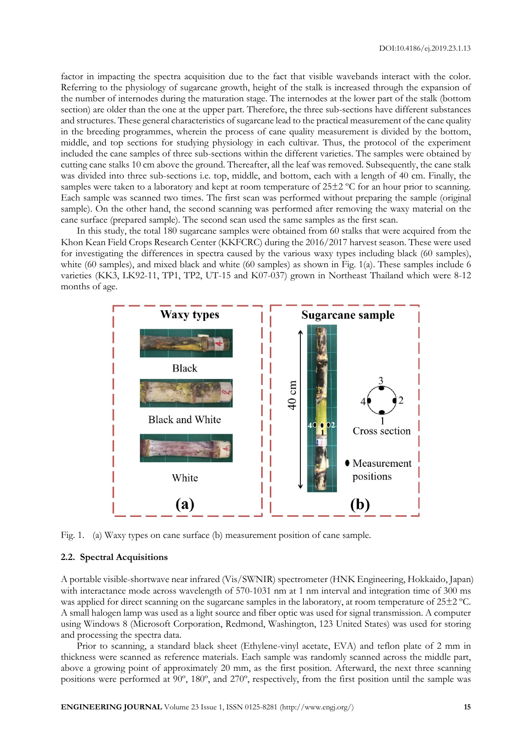factor in impacting the spectra acquisition due to the fact that visible wavebands interact with the color. Referring to the physiology of sugarcane growth, height of the stalk is increased through the expansion of the number of internodes during the maturation stage. The internodes at the lower part of the stalk (bottom section) are older than the one at the upper part. Therefore, the three sub-sections have different substances and structures. These general characteristics of sugarcane lead to the practical measurement of the cane quality in the breeding programmes, wherein the process of cane quality measurement is divided by the bottom, middle, and top sections for studying physiology in each cultivar. Thus, the protocol of the experiment included the cane samples of three sub-sections within the different varieties. The samples were obtained by cutting cane stalks 10 cm above the ground. Thereafter, all the leaf was removed. Subsequently, the cane stalk was divided into three sub-sections i.e. top, middle, and bottom, each with a length of 40 cm. Finally, the samples were taken to a laboratory and kept at room temperature of 25±2 °C for an hour prior to scanning. Each sample was scanned two times. The first scan was performed without preparing the sample (original sample). On the other hand, the second scanning was performed after removing the waxy material on the cane surface (prepared sample). The second scan used the same samples as the first scan.

In this study, the total 180 sugarcane samples were obtained from 60 stalks that were acquired from the Khon Kean Field Crops Research Center (KKFCRC) during the 2016/2017 harvest season. These were used for investigating the differences in spectra caused by the various waxy types including black (60 samples), white (60 samples), and mixed black and white (60 samples) as shown in Fig. 1(a). These samples include 6 varieties (KK3, LK92-11, TP1, TP2, UT-15 and K07-037) grown in Northeast Thailand which were 8-12 months of age.



Fig. 1. (a) Waxy types on cane surface (b) measurement position of cane sample.

#### **2.2. Spectral Acquisitions**

A portable visible-shortwave near infrared (Vis/SWNIR) spectrometer (HNK Engineering, Hokkaido, Japan) with interactance mode across wavelength of 570-1031 nm at 1 nm interval and integration time of 300 ms was applied for direct scanning on the sugarcane samples in the laboratory, at room temperature of 25 $\pm$ 2 °C. A small halogen lamp was used as a light source and fiber optic was used for signal transmission. A computer using Windows 8 (Microsoft Corporation, Redmond, Washington, 123 United States) was used for storing and processing the spectra data.

Prior to scanning, a standard black sheet (Ethylene-vinyl acetate, EVA) and teflon plate of 2 mm in thickness were scanned as reference materials. Each sample was randomly scanned across the middle part, above a growing point of approximately 20 mm, as the first position. Afterward, the next three scanning positions were performed at 90º, 180º, and 270º, respectively, from the first position until the sample was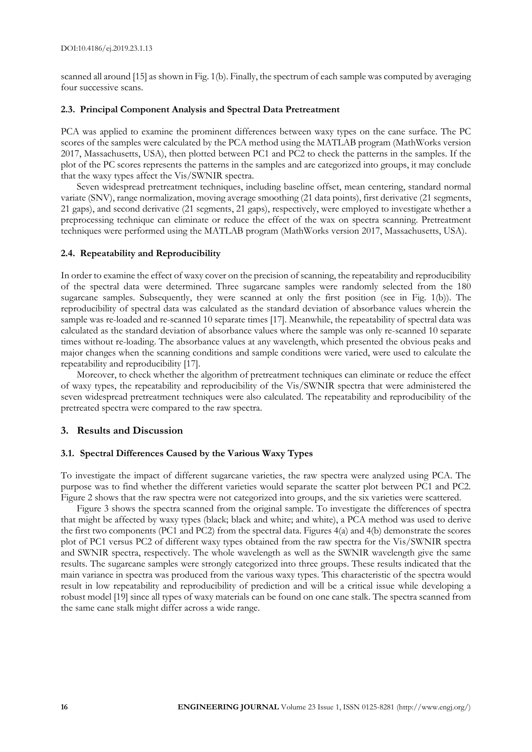scanned all around [15] as shown in Fig. 1(b). Finally, the spectrum of each sample was computed by averaging four successive scans.

#### **2.3. Principal Component Analysis and Spectral Data Pretreatment**

PCA was applied to examine the prominent differences between waxy types on the cane surface. The PC scores of the samples were calculated by the PCA method using the MATLAB program (MathWorks version 2017, Massachusetts, USA), then plotted between PC1 and PC2 to check the patterns in the samples. If the plot of the PC scores represents the patterns in the samples and are categorized into groups, it may conclude that the waxy types affect the Vis/SWNIR spectra.

Seven widespread pretreatment techniques, including baseline offset, mean centering, standard normal variate (SNV), range normalization, moving average smoothing (21 data points), first derivative (21 segments, 21 gaps), and second derivative (21 segments, 21 gaps), respectively, were employed to investigate whether a preprocessing technique can eliminate or reduce the effect of the wax on spectra scanning. Pretreatment techniques were performed using the MATLAB program (MathWorks version 2017, Massachusetts, USA).

### **2.4. Repeatability and Reproducibility**

In order to examine the effect of waxy cover on the precision of scanning, the repeatability and reproducibility of the spectral data were determined. Three sugarcane samples were randomly selected from the 180 sugarcane samples. Subsequently, they were scanned at only the first position (see in Fig. 1(b)). The reproducibility of spectral data was calculated as the standard deviation of absorbance values wherein the sample was re-loaded and re-scanned 10 separate times [17]. Meanwhile, the repeatability of spectral data was calculated as the standard deviation of absorbance values where the sample was only re-scanned 10 separate times without re-loading. The absorbance values at any wavelength, which presented the obvious peaks and major changes when the scanning conditions and sample conditions were varied, were used to calculate the repeatability and reproducibility [17].

Moreover, to check whether the algorithm of pretreatment techniques can eliminate or reduce the effect of waxy types, the repeatability and reproducibility of the Vis/SWNIR spectra that were administered the seven widespread pretreatment techniques were also calculated. The repeatability and reproducibility of the pretreated spectra were compared to the raw spectra.

### **3. Results and Discussion**

#### **3.1. Spectral Differences Caused by the Various Waxy Types**

To investigate the impact of different sugarcane varieties, the raw spectra were analyzed using PCA. The purpose was to find whether the different varieties would separate the scatter plot between PC1 and PC2. Figure 2 shows that the raw spectra were not categorized into groups, and the six varieties were scattered.

Figure 3 shows the spectra scanned from the original sample. To investigate the differences of spectra that might be affected by waxy types (black; black and white; and white), a PCA method was used to derive the first two components (PC1 and PC2) from the spectral data. Figures 4(a) and 4(b) demonstrate the scores plot of PC1 versus PC2 of different waxy types obtained from the raw spectra for the Vis/SWNIR spectra and SWNIR spectra, respectively. The whole wavelength as well as the SWNIR wavelength give the same results. The sugarcane samples were strongly categorized into three groups. These results indicated that the main variance in spectra was produced from the various waxy types. This characteristic of the spectra would result in low repeatability and reproducibility of prediction and will be a critical issue while developing a robust model [19] since all types of waxy materials can be found on one cane stalk. The spectra scanned from the same cane stalk might differ across a wide range.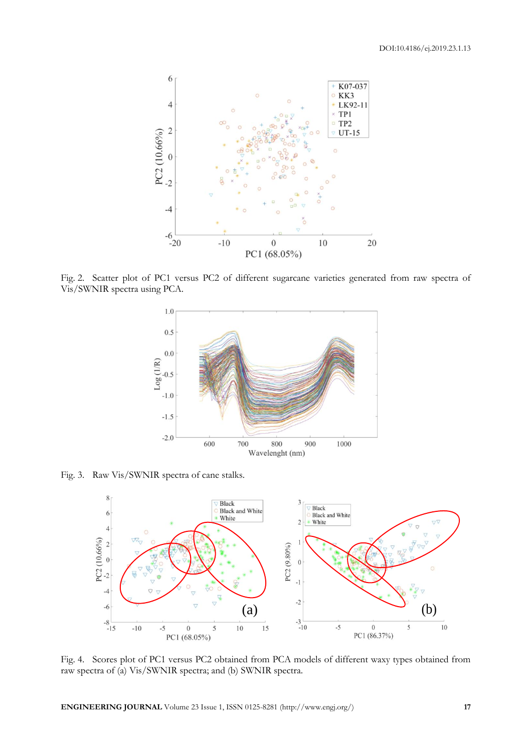

Fig. 2. Scatter plot of PC1 versus PC2 of different sugarcane varieties generated from raw spectra of Vis/SWNIR spectra using PCA.



Fig. 3. Raw Vis/SWNIR spectra of cane stalks.



Fig. 4. Scores plot of PC1 versus PC2 obtained from PCA models of different waxy types obtained from raw spectra of (a) Vis/SWNIR spectra; and (b) SWNIR spectra.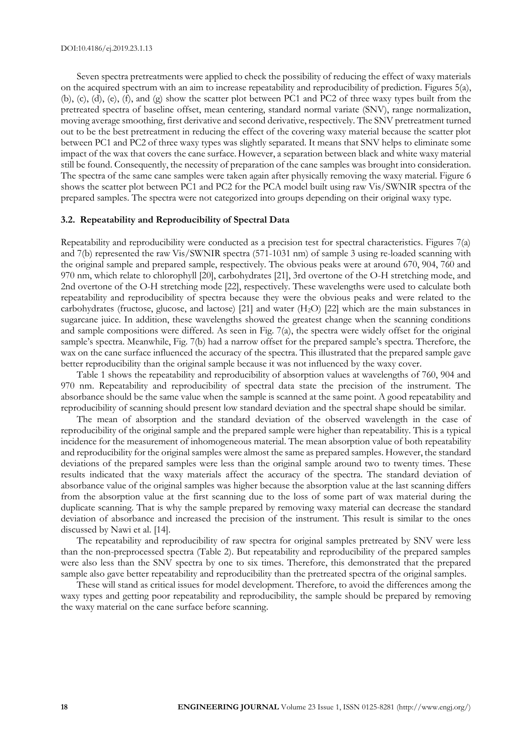Seven spectra pretreatments were applied to check the possibility of reducing the effect of waxy materials on the acquired spectrum with an aim to increase repeatability and reproducibility of prediction. Figures 5(a), (b), (c), (d), (e), (f), and (g) show the scatter plot between PC1 and PC2 of three waxy types built from the pretreated spectra of baseline offset, mean centering, standard normal variate (SNV), range normalization, moving average smoothing, first derivative and second derivative, respectively. The SNV pretreatment turned out to be the best pretreatment in reducing the effect of the covering waxy material because the scatter plot between PC1 and PC2 of three waxy types was slightly separated. It means that SNV helps to eliminate some impact of the wax that covers the cane surface.However, a separation between black and white waxy material still be found. Consequently, the necessity of preparation of the cane samples was brought into consideration. The spectra of the same cane samples were taken again after physically removing the waxy material. Figure 6 shows the scatter plot between PC1 and PC2 for the PCA model built using raw Vis/SWNIR spectra of the prepared samples. The spectra were not categorized into groups depending on their original waxy type.

#### **3.2. Repeatability and Reproducibility of Spectral Data**

Repeatability and reproducibility were conducted as a precision test for spectral characteristics. Figures 7(a) and 7(b) represented the raw Vis/SWNIR spectra (571-1031 nm) of sample 3 using re-loaded scanning with the original sample and prepared sample, respectively. The obvious peaks were at around 670, 904, 760 and 970 nm, which relate to chlorophyll [20], carbohydrates [21], 3rd overtone of the O-H stretching mode, and 2nd overtone of the O-H stretching mode [22], respectively. These wavelengths were used to calculate both repeatability and reproducibility of spectra because they were the obvious peaks and were related to the carbohydrates (fructose, glucose, and lactose) [21] and water  $(H<sub>2</sub>O)$  [22] which are the main substances in sugarcane juice. In addition, these wavelengths showed the greatest change when the scanning conditions and sample compositions were differed. As seen in Fig. 7(a), the spectra were widely offset for the original sample's spectra. Meanwhile, Fig. 7(b) had a narrow offset for the prepared sample's spectra. Therefore, the wax on the cane surface influenced the accuracy of the spectra. This illustrated that the prepared sample gave better reproducibility than the original sample because it was not influenced by the waxy cover.

Table 1 shows the repeatability and reproducibility of absorption values at wavelengths of 760, 904 and 970 nm. Repeatability and reproducibility of spectral data state the precision of the instrument. The absorbance should be the same value when the sample is scanned at the same point. A good repeatability and reproducibility of scanning should present low standard deviation and the spectral shape should be similar.

The mean of absorption and the standard deviation of the observed wavelength in the case of reproducibility of the original sample and the prepared sample were higher than repeatability. This is a typical incidence for the measurement of inhomogeneous material. The mean absorption value of both repeatability and reproducibility for the original samples were almost the same as prepared samples. However, the standard deviations of the prepared samples were less than the original sample around two to twenty times. These results indicated that the waxy materials affect the accuracy of the spectra. The standard deviation of absorbance value of the original samples was higher because the absorption value at the last scanning differs from the absorption value at the first scanning due to the loss of some part of wax material during the duplicate scanning. That is why the sample prepared by removing waxy material can decrease the standard deviation of absorbance and increased the precision of the instrument. This result is similar to the ones discussed by Nawi et al. [14].

The repeatability and reproducibility of raw spectra for original samples pretreated by SNV were less than the non-preprocessed spectra (Table 2). But repeatability and reproducibility of the prepared samples were also less than the SNV spectra by one to six times. Therefore, this demonstrated that the prepared sample also gave better repeatability and reproducibility than the pretreated spectra of the original samples.

These will stand as critical issues for model development. Therefore, to avoid the differences among the waxy types and getting poor repeatability and reproducibility, the sample should be prepared by removing the waxy material on the cane surface before scanning.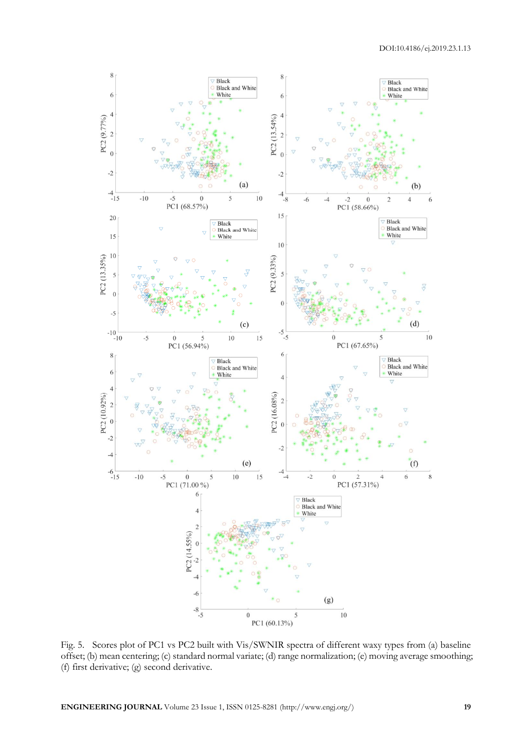

Fig. 5. Scores plot of PC1 vs PC2 built with Vis/SWNIR spectra of different waxy types from (a) baseline offset; (b) mean centering; (c) standard normal variate; (d) range normalization; (e) moving average smoothing; (f) first derivative; (g) second derivative.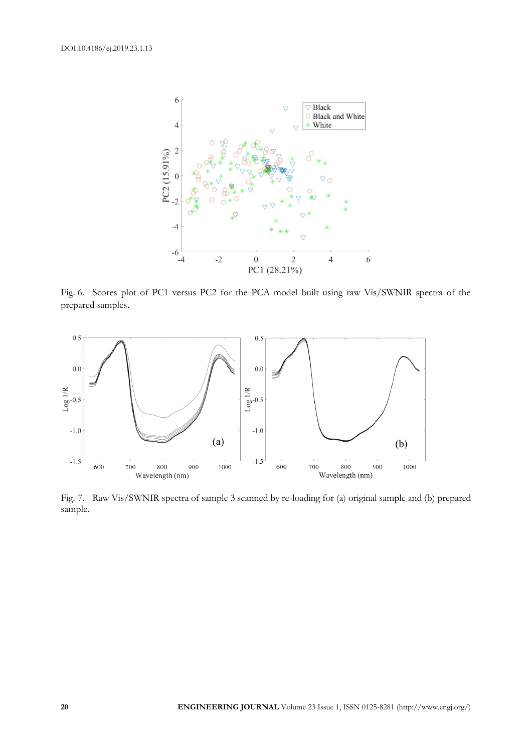

Fig. 6. Scores plot of PC1 versus PC2 for the PCA model built using raw Vis/SWNIR spectra of the prepared samples.



Fig. 7. Raw Vis/SWNIR spectra of sample 3 scanned by re-loading for (a) original sample and (b) prepared sample.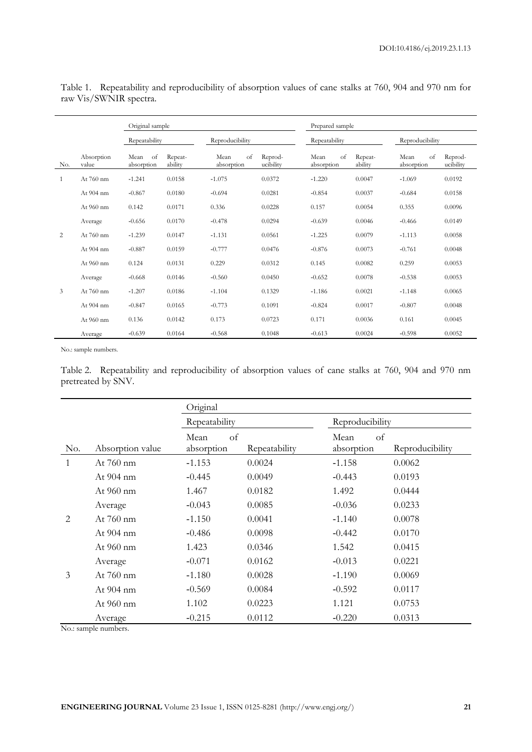|     |                     | Original sample          |                    |                          |                      | Prepared sample          |                    |                          |                      |
|-----|---------------------|--------------------------|--------------------|--------------------------|----------------------|--------------------------|--------------------|--------------------------|----------------------|
|     |                     | Repeatability            |                    | Reproducibility          |                      | Repeatability            |                    | Reproducibility          |                      |
| No. | Absorption<br>value | of<br>Mean<br>absorption | Repeat-<br>ability | Mean<br>of<br>absorption | Reprod-<br>ucibility | Mean<br>of<br>absorption | Repeat-<br>ability | Mean<br>of<br>absorption | Reprod-<br>ucibility |
| 1   | At 760 nm           | $-1.241$                 | 0.0158             | $-1.075$                 | 0.0372               | $-1.220$                 | 0.0047             | $-1.069$                 | 0.0192               |
|     | At 904 nm           | $-0.867$                 | 0.0180             | $-0.694$                 | 0.0281               | $-0.854$                 | 0.0037             | $-0.684$                 | 0.0158               |
|     | At $960 \text{ nm}$ | 0.142                    | 0.0171             | 0.336                    | 0.0228               | 0.157                    | 0.0054             | 0.355                    | 0.0096               |
|     | Average             | $-0.656$                 | 0.0170             | $-0.478$                 | 0.0294               | $-0.639$                 | 0.0046             | $-0.466$                 | 0.0149               |
| 2   | At 760 nm           | $-1.239$                 | 0.0147             | $-1.131$                 | 0.0561               | $-1.225$                 | 0.0079             | $-1.113$                 | 0.0058               |
|     | At 904 nm           | $-0.887$                 | 0.0159             | $-0.777$                 | 0.0476               | $-0.876$                 | 0.0073             | $-0.761$                 | 0.0048               |
|     | At 960 nm           | 0.124                    | 0.0131             | 0.229                    | 0.0312               | 0.145                    | 0.0082             | 0.259                    | 0.0053               |
|     | Average             | $-0.668$                 | 0.0146             | $-0.560$                 | 0.0450               | $-0.652$                 | 0.0078             | $-0.538$                 | 0.0053               |
| 3   | At $760 \text{ nm}$ | $-1.207$                 | 0.0186             | $-1.104$                 | 0.1329               | $-1.186$                 | 0.0021             | $-1.148$                 | 0.0065               |
|     | At 904 nm           | $-0.847$                 | 0.0165             | $-0.773$                 | 0.1091               | $-0.824$                 | 0.0017             | $-0.807$                 | 0.0048               |
|     | At 960 nm           | 0.136                    | 0.0142             | 0.173                    | 0.0723               | 0.171                    | 0.0036             | 0.161                    | 0.0045               |
|     | Average             | $-0.639$                 | 0.0164             | $-0.568$                 | 0.1048               | $-0.613$                 | 0.0024             | $-0.598$                 | 0.0052               |

Table 1. Repeatability and reproducibility of absorption values of cane stalks at 760, 904 and 970 nm for raw Vis/SWNIR spectra.

No.: sample numbers.

Table 2. Repeatability and reproducibility of absorption values of cane stalks at 760, 904 and 970 nm pretreated by SNV.

|                |                  | Original                 |               |                          |                 |  |
|----------------|------------------|--------------------------|---------------|--------------------------|-----------------|--|
|                |                  | Repeatability            |               | Reproducibility          |                 |  |
| No.            | Absorption value | of<br>Mean<br>absorption | Repeatability | of<br>Mean<br>absorption | Reproducibility |  |
| $\mathbf{1}$   | At $760$ nm      | $-1.153$                 | 0.0024        | $-1.158$                 | 0.0062          |  |
|                | At 904 nm        | $-0.445$                 | 0.0049        | $-0.443$                 | 0.0193          |  |
|                | At 960 nm        | 1.467                    | 0.0182        | 1.492                    | 0.0444          |  |
|                | Average          | $-0.043$                 | 0.0085        | $-0.036$                 | 0.0233          |  |
| $\overline{2}$ | At $760$ nm      | $-1.150$                 | 0.0041        | $-1.140$                 | 0.0078          |  |
|                | At 904 nm        | $-0.486$                 | 0.0098        | $-0.442$                 | 0.0170          |  |
|                | At $960$ nm      | 1.423                    | 0.0346        | 1.542                    | 0.0415          |  |
|                | Average          | $-0.071$                 | 0.0162        | $-0.013$                 | 0.0221          |  |
| 3              | At 760 nm        | $-1.180$                 | 0.0028        | $-1.190$                 | 0.0069          |  |
|                | At 904 nm        | $-0.569$                 | 0.0084        | $-0.592$                 | 0.0117          |  |
|                | At 960 nm        | 1.102                    | 0.0223        | 1.121                    | 0.0753          |  |
|                | Average          | $-0.215$                 | 0.0112        | $-0.220$                 | 0.0313          |  |

No.: sample numbers.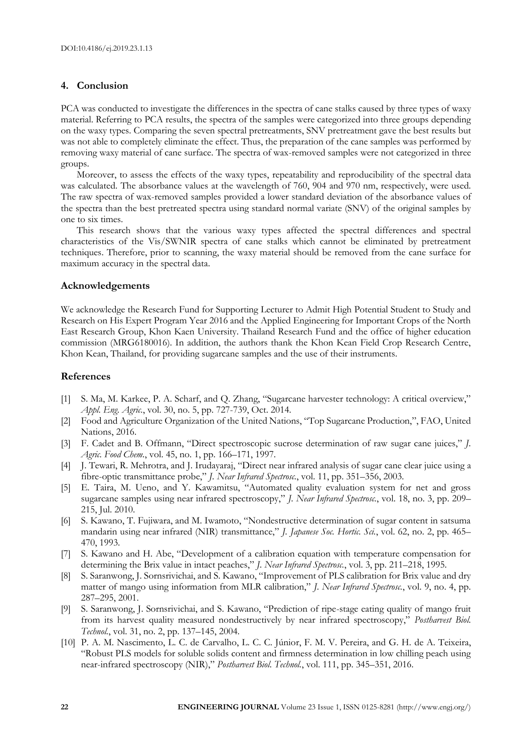## **4. Conclusion**

PCA was conducted to investigate the differences in the spectra of cane stalks caused by three types of waxy material. Referring to PCA results, the spectra of the samples were categorized into three groups depending on the waxy types. Comparing the seven spectral pretreatments, SNV pretreatment gave the best results but was not able to completely eliminate the effect. Thus, the preparation of the cane samples was performed by removing waxy material of cane surface. The spectra of wax-removed samples were not categorized in three groups.

Moreover, to assess the effects of the waxy types, repeatability and reproducibility of the spectral data was calculated. The absorbance values at the wavelength of 760, 904 and 970 nm, respectively, were used. The raw spectra of wax-removed samples provided a lower standard deviation of the absorbance values of the spectra than the best pretreated spectra using standard normal variate (SNV) of the original samples by one to six times.

This research shows that the various waxy types affected the spectral differences and spectral characteristics of the Vis/SWNIR spectra of cane stalks which cannot be eliminated by pretreatment techniques. Therefore, prior to scanning, the waxy material should be removed from the cane surface for maximum accuracy in the spectral data.

#### **Acknowledgements**

We acknowledge the Research Fund for Supporting Lecturer to Admit High Potential Student to Study and Research on His Expert Program Year 2016 and the Applied Engineering for Important Crops of the North East Research Group, Khon Kaen University. Thailand Research Fund and the office of higher education commission (MRG6180016). In addition, the authors thank the Khon Kean Field Crop Research Centre, Khon Kean, Thailand, for providing sugarcane samples and the use of their instruments.

#### **References**

- [1] S. Ma, M. Karkee, P. A. Scharf, and Q. Zhang, "Sugarcane harvester technology: A critical overview," *Appl. Eng. Agric.*, vol. 30, no. 5, pp. 727-739, Oct. 2014.
- [2] Food and Agriculture Organization of the United Nations, "Top Sugarcane Production,", FAO, United Nations, 2016.
- [3] F. Cadet and B. Offmann, "Direct spectroscopic sucrose determination of raw sugar cane juices," *J. Agric. Food Chem.*, vol. 45, no. 1, pp. 166–171, 1997.
- [4] J. Tewari, R. Mehrotra, and J. Irudayaraj, "Direct near infrared analysis of sugar cane clear juice using a fibre-optic transmittance probe," *J. Near Infrared Spectrosc.*, vol. 11, pp. 351–356, 2003.
- [5] E. Taira, M. Ueno, and Y. Kawamitsu, "Automated quality evaluation system for net and gross sugarcane samples using near infrared spectroscopy," *J. Near Infrared Spectrosc.*, vol. 18, no. 3, pp. 209– 215, Jul. 2010.
- [6] S. Kawano, T. Fujiwara, and M. Iwamoto, "Nondestructive determination of sugar content in satsuma mandarin using near infrared (NIR) transmittance," *J. Japanese Soc. Hortic. Sci.*, vol. 62, no. 2, pp. 465– 470, 1993.
- [7] S. Kawano and H. Abe, "Development of a calibration equation with temperature compensation for determining the Brix value in intact peaches," *J. Near Infrared Spectrosc.*, vol. 3, pp. 211–218, 1995.
- [8] S. Saranwong, J. Sornsrivichai, and S. Kawano, "Improvement of PLS calibration for Brix value and dry matter of mango using information from MLR calibration," *J. Near Infrared Spectrosc.*, vol. 9, no. 4, pp. 287–295, 2001.
- [9] S. Saranwong, J. Sornsrivichai, and S. Kawano, "Prediction of ripe-stage eating quality of mango fruit from its harvest quality measured nondestructively by near infrared spectroscopy," *Postharvest Biol. Technol.*, vol. 31, no. 2, pp. 137–145, 2004.
- [10] P. A. M. Nascimento, L. C. de Carvalho, L. C. C. Júnior, F. M. V. Pereira, and G. H. de A. Teixeira, "Robust PLS models for soluble solids content and firmness determination in low chilling peach using near-infrared spectroscopy (NIR)," *Postharvest Biol. Technol.*, vol. 111, pp. 345–351, 2016.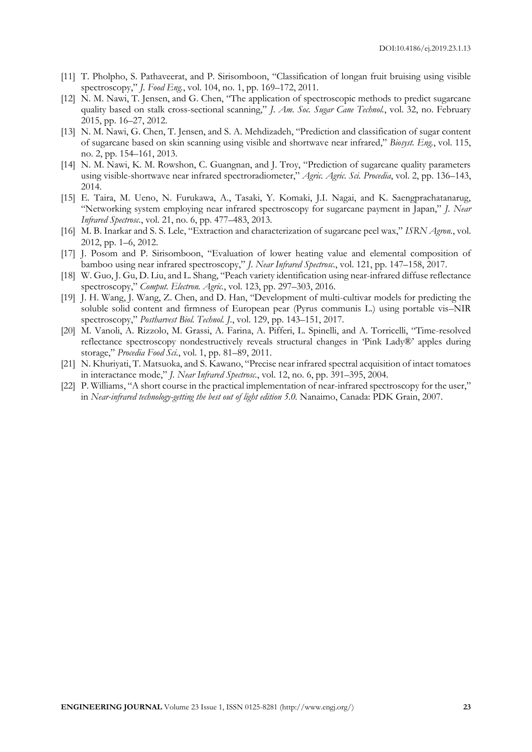- [11] T. Pholpho, S. Pathaveerat, and P. Sirisomboon, "Classification of longan fruit bruising using visible spectroscopy," *J. Food Eng.*, vol. 104, no. 1, pp. 169–172, 2011.
- [12] N. M. Nawi, T. Jensen, and G. Chen, "The application of spectroscopic methods to predict sugarcane quality based on stalk cross-sectional scanning," *J. Am. Soc. Sugar Cane Technol.*, vol. 32, no. February 2015, pp. 16–27, 2012.
- [13] N. M. Nawi, G. Chen, T. Jensen, and S. A. Mehdizadeh, "Prediction and classification of sugar content of sugarcane based on skin scanning using visible and shortwave near infrared," *Biosyst. Eng.*, vol. 115, no. 2, pp. 154–161, 2013.
- [14] N. M. Nawi, K. M. Rowshon, C. Guangnan, and J. Troy, "Prediction of sugarcane quality parameters using visible-shortwave near infrared spectroradiometer," *Agric. Agric. Sci. Procedia*, vol. 2, pp. 136–143, 2014.
- [15] E. Taira, M. Ueno, N. Furukawa, A., Tasaki, Y. Komaki, J.I. Nagai, and K. Saengprachatanarug, "Networking system employing near infrared spectroscopy for sugarcane payment in Japan," *J. Near Infrared Spectrosc.*, vol. 21, no. 6, pp. 477–483, 2013.
- [16] M. B. Inarkar and S. S. Lele, "Extraction and characterization of sugarcane peel wax," *ISRN Agron.*, vol. 2012, pp. 1–6, 2012.
- [17] J. Posom and P. Sirisomboon, "Evaluation of lower heating value and elemental composition of bamboo using near infrared spectroscopy," *J. Near Infrared Spectrosc.*, vol. 121, pp. 147–158, 2017.
- [18] W. Guo, J. Gu, D. Liu, and L. Shang, "Peach variety identification using near-infrared diffuse reflectance spectroscopy," *Comput. Electron. Agric.*, vol. 123, pp. 297–303, 2016.
- [19] J. H. Wang, J. Wang, Z. Chen, and D. Han, "Development of multi-cultivar models for predicting the soluble solid content and firmness of European pear (Pyrus communis L.) using portable vis–NIR spectroscopy," *Postharvest Biol. Technol. J.*, vol. 129, pp. 143–151, 2017.
- [20] M. Vanoli, A. Rizzolo, M. Grassi, A. Farina, A. Pifferi, L. Spinelli, and A. Torricelli, "Time-resolved reflectance spectroscopy nondestructively reveals structural changes in 'Pink Lady®' apples during storage," *Procedia Food Sci.*, vol. 1, pp. 81–89, 2011.
- [21] N. Khuriyati, T. Matsuoka, and S. Kawano, "Precise near infrared spectral acquisition of intact tomatoes in interactance mode," *J. Near Infrared Spectrosc.*, vol. 12, no. 6, pp. 391–395, 2004.
- [22] P. Williams, "A short course in the practical implementation of near-infrared spectroscopy for the user," in *Near-infrared technology-getting the best out of light edition 5.0.* Nanaimo, Canada: PDK Grain, 2007.